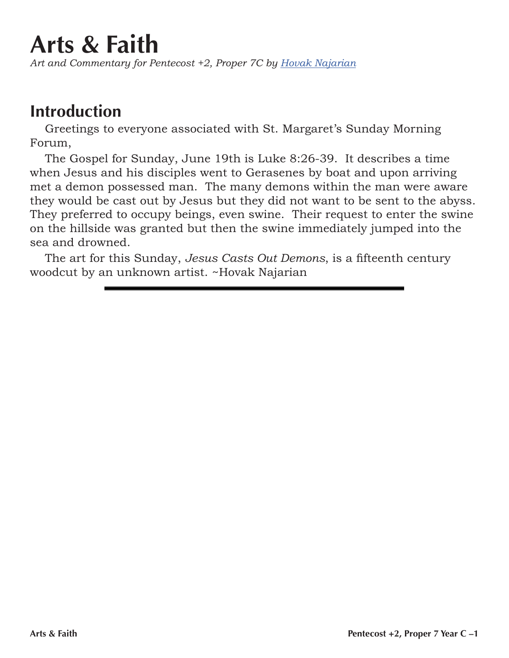## **Arts & Faith**

*Art and Commentary for Pentecost +2, Proper 7C by Hovak Najarian*

## **Introduction**

Greetings to everyone associated with St. Margaret's Sunday Morning Forum,

The Gospel for Sunday, June 19th is Luke 8:26-39. It describes a time when Jesus and his disciples went to Gerasenes by boat and upon arriving met a demon possessed man. The many demons within the man were aware they would be cast out by Jesus but they did not want to be sent to the abyss. They preferred to occupy beings, even swine. Their request to enter the swine on the hillside was granted but then the swine immediately jumped into the sea and drowned.

The art for this Sunday, *Jesus Casts Out Demons*, is a fifteenth century woodcut by an unknown artist. ~Hovak Najarian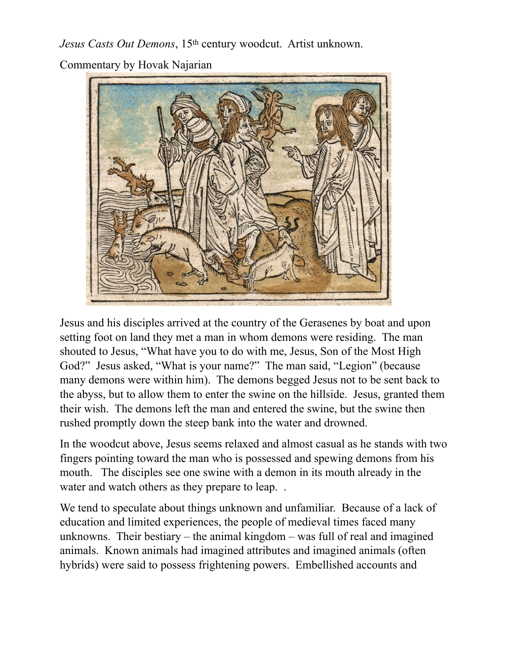*Jesus Casts Out Demons*, 15th century woodcut. Artist unknown.

Commentary by Hovak Najarian



Jesus and his disciples arrived at the country of the Gerasenes by boat and upon setting foot on land they met a man in whom demons were residing. The man shouted to Jesus, "What have you to do with me, Jesus, Son of the Most High God?" Jesus asked, "What is your name?" The man said, "Legion" (because many demons were within him). The demons begged Jesus not to be sent back to the abyss, but to allow them to enter the swine on the hillside. Jesus, granted them their wish. The demons left the man and entered the swine, but the swine then rushed promptly down the steep bank into the water and drowned.

In the woodcut above, Jesus seems relaxed and almost casual as he stands with two fingers pointing toward the man who is possessed and spewing demons from his mouth. The disciples see one swine with a demon in its mouth already in the water and watch others as they prepare to leap...

We tend to speculate about things unknown and unfamiliar. Because of a lack of education and limited experiences, the people of medieval times faced many unknowns. Their bestiary – the animal kingdom – was full of real and imagined animals. Known animals had imagined attributes and imagined animals (often hybrids) were said to possess frightening powers. Embellished accounts and